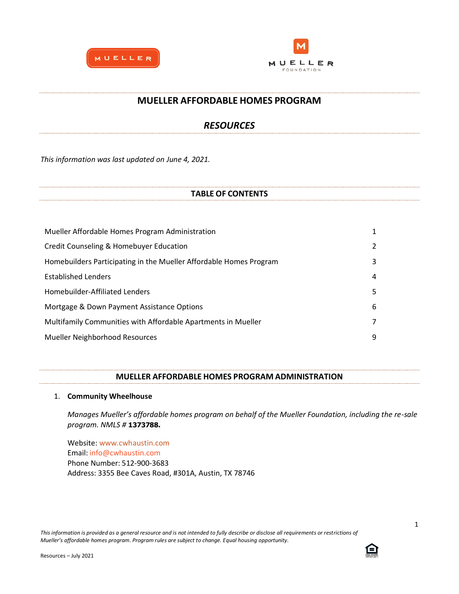



## **MUELLER AFFORDABLE HOMES PROGRAM**

# *RESOURCES*

*This information was last updated on June 4, 2021.*

## **TABLE OF CONTENTS**

| Mueller Affordable Homes Program Administration                    |   |
|--------------------------------------------------------------------|---|
| Credit Counseling & Homebuyer Education                            | 2 |
| Homebuilders Participating in the Mueller Affordable Homes Program | 3 |
| <b>Established Lenders</b>                                         | 4 |
| Homebuilder-Affiliated Lenders                                     | 5 |
| Mortgage & Down Payment Assistance Options                         | 6 |
| Multifamily Communities with Affordable Apartments in Mueller      | 7 |
| Mueller Neighborhood Resources                                     | 9 |

## **MUELLER AFFORDABLE HOMES PROGRAM ADMINISTRATION**

## 1. **Community Wheelhouse**

*Manages Mueller's affordable homes program on behalf of the Mueller Foundation, including the re-sale program. NMLS #* **1373788.**

Website: [www.cwhaustin.com](http://www.cwhaustin.com/) Email: [info@cwhaustin.com](mailto:info@cwhaustin.com) Phone Number: 512-900-3683 Address: 3355 Bee Caves Road, #301A, Austin, TX 78746

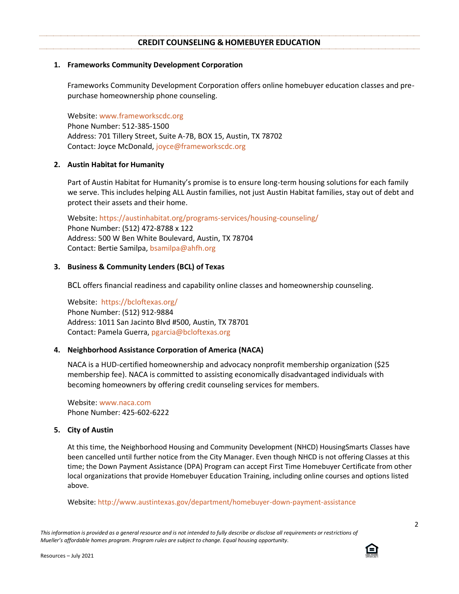## **CREDIT COUNSELING & HOMEBUYER EDUCATION**

## **1. Frameworks Community Development Corporation**

Frameworks Community Development Corporation offers online homebuyer education classes and prepurchase homeownership phone counseling.

Website: [www.frameworkscdc.org](http://www.frameworkscdc.org/) Phone Number: 512-385-1500 Address: 701 Tillery Street, Suite A-7B, BOX 15, Austin, TX 78702 Contact: Joyce McDonald, [joyce@frameworkscdc.org](mailto:joyce@frameworkscdc.org)

## **2. Austin Habitat for Humanity**

Part of Austin Habitat for Humanity's promise is to ensure long-term housing solutions for each family we serve. This includes helping ALL Austin families, not just Austin Habitat families, stay out of debt and protect their assets and their home.

Website: <https://austinhabitat.org/programs-services/housing-counseling/> Phone Number: (512) 472-8788 x 122 Address: 500 W Ben White Boulevard, Austin, TX 78704 Contact: Bertie Samilpa, [bsamilpa@ahfh.org](mailto:bsamilpa@ahfh.org)

## **3. Business & Community Lenders (BCL) of Texas**

BCL offers financial readiness and capability online classes and homeownership counseling.

Website: <https://bcloftexas.org/> Phone Number: (512) 912-9884 Address: 1011 San Jacinto Blvd #500, Austin, TX 78701 Contact: Pamela Guerra, [pgarcia@bcloftexas.org](mailto:pgarcia@bcloftexas.org)

### **4. Neighborhood Assistance Corporation of America (NACA)**

NACA is a HUD-certified homeownership and advocacy nonprofit membership organization (\$25 membership fee). NACA is committed to assisting economically disadvantaged individuals with becoming homeowners by offering credit counseling services for members.

Website: [www.naca.com](http://www.naca.com/) Phone Number: 425-602-6222

### **5. City of Austin**

At this time, the Neighborhood Housing and Community Development (NHCD) HousingSmarts Classes have been cancelled until further notice from the City Manager. Even though NHCD is not offering Classes at this time; the Down Payment Assistance (DPA) Program can accept First Time Homebuyer Certificate from other local organizations that provide Homebuyer Education Training, including online courses and options listed above.

Website: <http://www.austintexas.gov/department/homebuyer-down-payment-assistance>

This information is provided as a general resource and is not intended to fully describe or disclose all requirements or restrictions of *Mueller's affordable homes program. Program rules are subject to change. Equal housing opportunity.*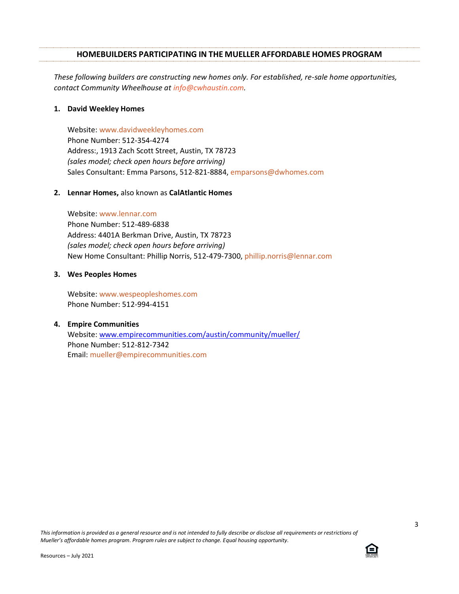### **HOMEBUILDERS PARTICIPATING IN THE MUELLER AFFORDABLE HOMES PROGRAM**

*These following builders are constructing new homes only. For established, re-sale home opportunities, contact Community Wheelhouse at info@cwhaustin.com.*

#### **1. David Weekley Homes**

Website: [www.davidweekleyhomes.com](http://www.davidweekleyhomes.com/) Phone Number: 512-354-4274 Address:, 1913 Zach Scott Street, Austin, TX 78723 *(sales model; check open hours before arriving)* Sales Consultant: Emma Parsons, 512-821-8884, [emparsons@dwhomes.com](mailto:emparsons@dwhomes.com)

#### **2. Lennar Homes,** also known as **CalAtlantic Homes**

Website: [www.lennar.com](http://www.lennar.com/) Phone Number: 512-489-6838 Address: 4401A Berkman Drive, Austin, TX 78723 *(sales model; check open hours before arriving)* New Home Consultant: Phillip Norris, 512-479-7300, [phillip.norris@lennar.com](mailto:phillip.norris@lennar.com)

#### **3. Wes Peoples Homes**

Website: [www.wespeopleshomes.com](https://urldefense.proofpoint.com/v2/url?u=http-3A__www.wespeopleshomes.com_&d=DwMFaQ&c=euGZstcaTDllvimEN8b7jXrwqOf-v5A_CdpgnVfiiMM&r=SAIBhmcBD05zcD8hve5TajK_ylA16mKr-OaecVDWHG8&m=YqvAm11D7c030zaBPOtrrTuuIhoa_EAuC9uNMVRuNvw&s=l5Vhp6EehtcNG9-gNrRV-g6Gzr7-P0Ge1QtxB2ltRb4&e=) Phone Number: 512-994-4151

### **4. Empire Communities**

Website: [www.empirecommunities.com/austin/community/mueller/](http://www.empirecommunities.com/austin/community/mueller/) Phone Number: 512-812-7342 Email: [mueller@empirecommunities.com](mailto:mueller@empirecommunities.com)

*This information is provided as a general resource and is not intended to fully describe or disclose all requirements or restrictions of Mueller's affordable homes program. Program rules are subject to change. Equal housing opportunity.*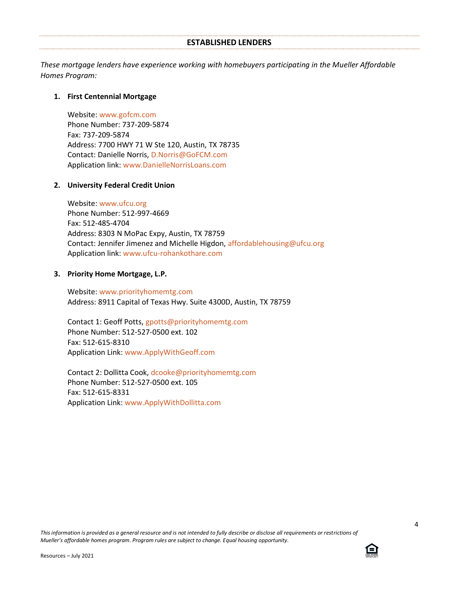#### **ESTABLISHED LENDERS**

*These mortgage lenders have experience working with homebuyers participating in the Mueller Affordable Homes Program:*

## **1. First Centennial Mortgage**

Website: [www.gofcm.com](http://www.gofcm.com/) Phone Number: 737-209-5874 Fax: 737-209-5874 Address: 7700 HWY 71 W Ste 120, Austin, TX 78735 Contact: Danielle Norris, [D.Norris@GoFCM.com](mailto:D.Norris@GoFCM.com) Application link: [www.DanielleNorrisLoans.com](http://www.daniellenorrisloans.com/)

### **2. University Federal Credit Union**

Website: [www.ufcu.org](http://www.ufcu.org/) Phone Number: 512-997-4669 Fax: 512-485-4704 Address: 8303 N MoPac Expy, Austin, TX 78759 Contact: Jennifer Jimenez and Michelle Higdon, [affordablehousing@ufcu.org](mailto:affordablehousing@ufcu.org) Application link: [www.ufcu-rohankothare.com](http://www.ufcu-rohankothare.com/)

## **3. Priority Home Mortgage, L.P.**

Website: [www.priorityhomemtg.com](http://www.priorityhomemtg.com/) Address: 8911 Capital of Texas Hwy. Suite 4300D, Austin, TX 78759

Contact 1: Geoff Potts, [gpotts@priorityhomemtg.com](mailto:gpotts@priorityhomemtg.com) Phone Number: 512-527-0500 ext. 102 Fax: 512-615-8310 Application Link: [www.ApplyWithGeoff.com](http://www.applywithgeoff.com/)

Contact 2: Dollitta Cook, [dcooke@priorityhomemtg.com](mailto:dcooke@priorityhomemtg.com) Phone Number: 512-527-0500 ext. 105 Fax: 512-615-8331 Application Link: [www.ApplyWithDollitta.com](http://www.applywithdollitta.com/)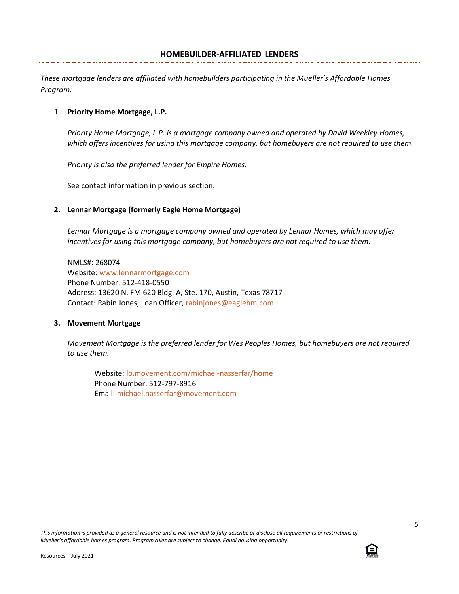## **HOMEBUILDER-AFFILIATED LENDERS**

*These mortgage lenders are affiliated with homebuilders participating in the Mueller's Affordable Homes Program:*

## 1. **Priority Home Mortgage, L.P.**

*Priority Home Mortgage, L.P. is a mortgage company owned and operated by David Weekley Homes, which offers incentives for using this mortgage company, but homebuyers are not required to use them.*

*Priority is also the preferred lender for Empire Homes.* 

See contact information in previous section.

## **2. Lennar Mortgage (formerly Eagle Home Mortgage)**

*Lennar Mortgage is a mortgage company owned and operated by Lennar Homes, which may offer incentives for using this mortgage company, but homebuyers are not required to use them.*

NMLS#: 268074 Website: [www.lennarmortgage.com](http://www.lennarmortgage.com/) Phone Number: 512-418-0550 Address: 13620 N. FM 620 Bldg. A, Ste. 170, Austin, Texas 78717 Contact: Rabin Jones, Loan Officer[, rabinjones@eaglehm.com](mailto:rabinjones@eaglehm.com)

### **3. Movement Mortgage**

*Movement Mortgage is the preferred lender for Wes Peoples Homes, but homebuyers are not required to use them.* 

Website: [lo.movement.com/michael-nasserfar/home](https://lo.movement.com/michael-nasserfar/home) Phone Number: 512-797-8916 Email: [michael.nasserfar@movement.com](mailto:michael.nasserfar@movement.com)

*This information is provided as a general resource and is not intended to fully describe or disclose all requirements or restrictions of Mueller's affordable homes program. Program rules are subject to change. Equal housing opportunity.*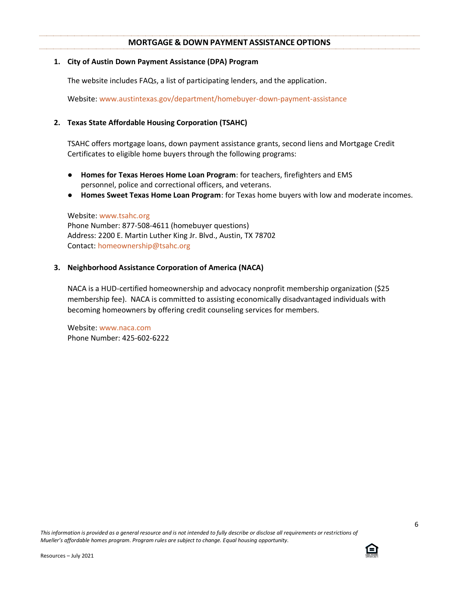## **MORTGAGE & DOWN PAYMENT ASSISTANCE OPTIONS**

## **1. City of Austin Down Payment Assistance (DPA) Program**

The website includes FAQs, a list of participating lenders, and the application.

Website: [www.austintexas.gov/department/homebuyer-down-payment-assistance](http://www.austintexas.gov/department/homebuyer-down-payment-assistance)

## **2. Texas State Affordable Housing Corporation (TSAHC)**

TSAHC offers mortgage loans, down payment assistance grants, second liens and Mortgage Credit Certificates to eligible home buyers through the following programs:

- **[Homes for](https://www.tsahc.org/homebuyers-renters/homes-for-texas-heroes-program) [Texas Heroes](https://www.tsahc.org/public/upload/files/general/H4H_Who_is_Eligible_for_the_Program.pdf) [Home Loan Program](https://www.tsahc.org/homebuyers-renters/homes-for-texas-heroes-program)**: for teachers, firefighters and EMS personnel, police and correctional officers, and veterans.
- **[Homes Sweet Texas Home Loan Program](https://www.tsahc.org/homebuyers-renters/home-sweet-texas-home-loan-program)**: for Texas home buyers with low and moderate incomes.

Website: [www.tsahc.org](http://www.tsahc.org/) Phone Number: 877-508-4611 (homebuyer questions) Address: 2200 E. Martin Luther King Jr. Blvd., Austin, TX 78702 Contact: [homeownership@tsahc.org](mailto:homeownership@tsahc.org)

## **3. Neighborhood Assistance Corporation of America (NACA)**

NACA is a HUD-certified homeownership and advocacy nonprofit membership organization (\$25 membership fee). NACA is committed to assisting economically disadvantaged individuals with becoming homeowners by offering credit counseling services for members.

Website: [www.naca.com](http://www.naca.com/) Phone Number: 425-602-6222

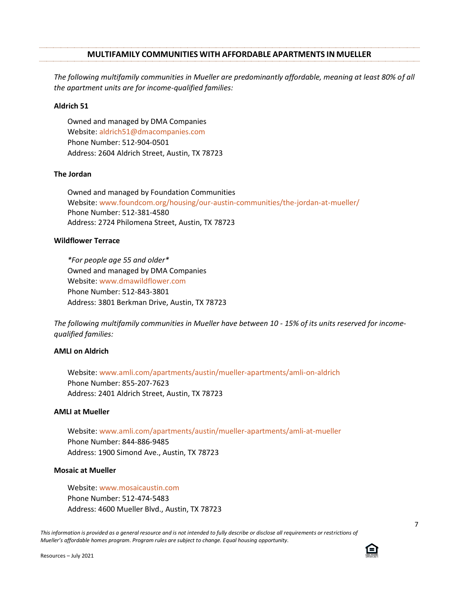#### **MULTIFAMILY COMMUNITIES WITH AFFORDABLE APARTMENTS IN MUELLER**

*The following multifamily communities in Mueller are predominantly affordable, meaning at least 80% of all the apartment units are for income-qualified families:*

#### **Aldrich 51**

Owned and managed by DMA Companies Website: [aldrich51@dmacompanies.com](mailto:aldrich51@dmacompanies.com) Phone Number: 512-904-0501 Address: 2604 Aldrich Street, Austin, TX 78723

#### **The Jordan**

Owned and managed by Foundation Communities Website: [www.foundcom.org/housing/our-austin-communities/the-jordan-at-mueller/](http://www.foundcom.org/housing/our-austin-communities/the-jordan-at-mueller/) Phone Number: 512-381-4580 Address: 2724 Philomena Street, Austin, TX 78723

## **Wildflower Terrace**

*\*For people age 55 and older\** Owned and managed by DMA Companies Website: [www.dmawildflower.com](http://www.dmawildflower.com/) Phone Number: 512-843-3801 Address: 3801 Berkman Drive, Austin, TX 78723

*The following multifamily communities in Mueller have between 10 - 15% of its units reserved for incomequalified families:*

## **AMLI on Aldrich**

Website: [www.amli.com/apartments/austin/mueller-apartments/amli-on-aldrich](http://www.amli.com/apartments/austin/mueller-apartments/amli-on-aldrich) Phone Number: 855-207-7623 Address: 2401 Aldrich Street, Austin, TX 78723

#### **AMLI at Mueller**

Website: [www.amli.com/apartments/austin/mueller-apartments/amli-at-mueller](http://www.amli.com/apartments/austin/mueller-apartments/amli-at-mueller) Phone Number: 844-886-9485 Address: 1900 Simond Ave., Austin, TX 78723

## **Mosaic at Mueller**

Website: [www.mosaicaustin.com](http://www.mosaicaustin.com/) Phone Number: 512-474-5483 Address: 4600 Mueller Blvd., Austin, TX 78723

*This information is provided as a general resource and is not intended to fully describe or disclose all requirements or restrictions of Mueller's affordable homes program. Program rules are subject to change. Equal housing opportunity.*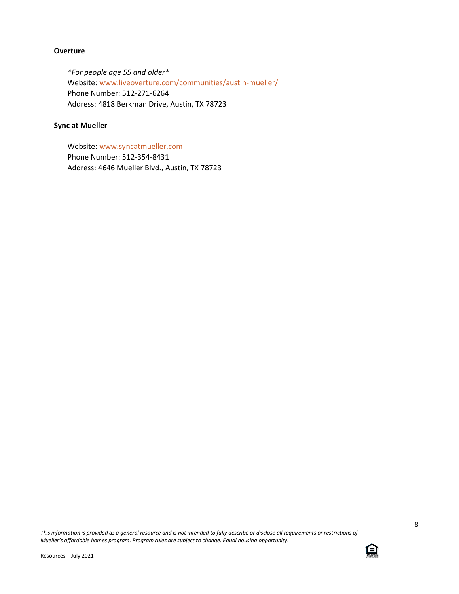## **Overture**

*\*For people age 55 and older\** Website: [www.liveoverture.com/communities/austin-mueller/](http://www.liveoverture.com/communities/austin-mueller/) Phone Number: 512-271-6264 Address: 4818 Berkman Drive, Austin, TX 78723

## **Sync at Mueller**

Website: [www.syncatmueller.com](http://www.syncatmueller.com/) Phone Number: 512-354-8431 Address: 4646 Mueller Blvd., Austin, TX 78723

*This information is provided as a general resource and is not intended to fully describe or disclose all requirements or restrictions of Mueller's affordable homes program. Program rules are subject to change. Equal housing opportunity.*